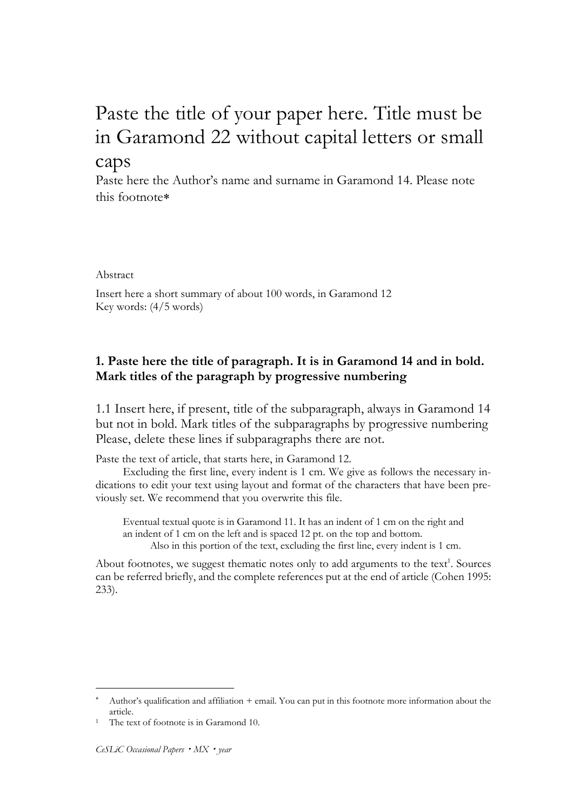# Paste the title of your paper here. Title must be in Garamond 22 without capital letters or small

## caps

Paste here the Author's name and surname in Garamond 14. Please note this footnote

Abstract

Insert here a short summary of about 100 words, in Garamond 12 Key words: (4/5 words)

## **1. Paste here the title of paragraph. It is in Garamond 14 and in bold. Mark titles of the paragraph by progressive numbering**

1.1 Insert here, if present, title of the subparagraph, always in Garamond 14 but not in bold. Mark titles of the subparagraphs by progressive numbering Please, delete these lines if subparagraphs there are not.

Paste the text of article, that starts here, in Garamond 12.

Excluding the first line, every indent is 1 cm. We give as follows the necessary indications to edit your text using layout and format of the characters that have been previously set. We recommend that you overwrite this file.

Eventual textual quote is in Garamond 11. It has an indent of 1 cm on the right and an indent of 1 cm on the left and is spaced 12 pt. on the top and bottom. Also in this portion of the text, excluding the first line, every indent is 1 cm.

About footnotes, we suggest thematic notes only to add arguments to the text<sup>1</sup>. Sources can be referred briefly, and the complete references put at the end of article (Cohen 1995: 233).

Author's qualification and affiliation + email. You can put in this footnote more information about the article.

The text of footnote is in Garamond 10.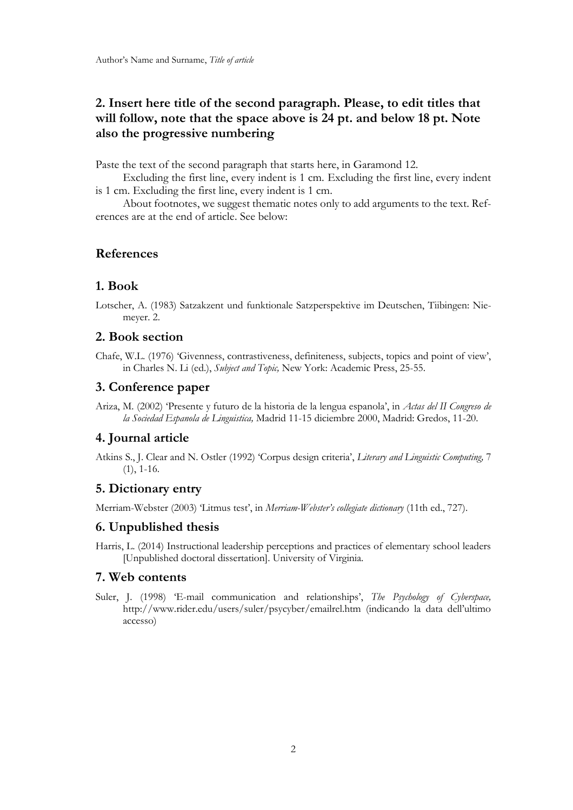## **2. Insert here title of the second paragraph. Please, to edit titles that will follow, note that the space above is 24 pt. and below 18 pt. Note also the progressive numbering**

Paste the text of the second paragraph that starts here, in Garamond 12.

Excluding the first line, every indent is 1 cm. Excluding the first line, every indent is 1 cm. Excluding the first line, every indent is 1 cm.

About footnotes, we suggest thematic notes only to add arguments to the text. References are at the end of article. See below:

### **References**

### **1. Book**

Lotscher, A. (1983) Satzakzent und funktionale Satzperspektive im Deutschen, Tiibingen: Niemeyer. 2.

### **2. Book section**

### **3. Conference paper**

### **4. Journal article**

Atkins S., J. Clear and N. Ostler (1992) 'Corpus design criteria', *Literary and Linguistic Computing,* 7  $(1), 1-16.$ 

### **5. Dictionary entry**

Merriam-Webster (2003) 'Litmus test', in *Merriam-Webster's collegiate dictionary* (11th ed., 727).

### **6. Unpublished thesis**

Harris, L. (2014) Instructional leadership perceptions and practices of elementary school leaders [Unpublished doctoral dissertation]. University of Virginia.

#### **7. Web contents**

Suler, J. (1998) 'E-mail communication and relationships', *The Psychology of Cyberspace,*  http://www.rider.edu/users/suler/psycyber/emailrel.htm (indicando la data dell'ultimo accesso)

Chafe, W.L. (1976) 'Givenness, contrastiveness, definiteness, subjects, topics and point of view', in Charles N. Li (ed.), *Subject and Topic,* New York: Academic Press, 25-55.

Ariza, M. (2002) 'Presente y futuro de la historia de la lengua espanola', in *Actas del II Congreso de la Sociedad Espanola de Linguistica,* Madrid 11-15 diciembre 2000, Madrid: Gredos, 11-20.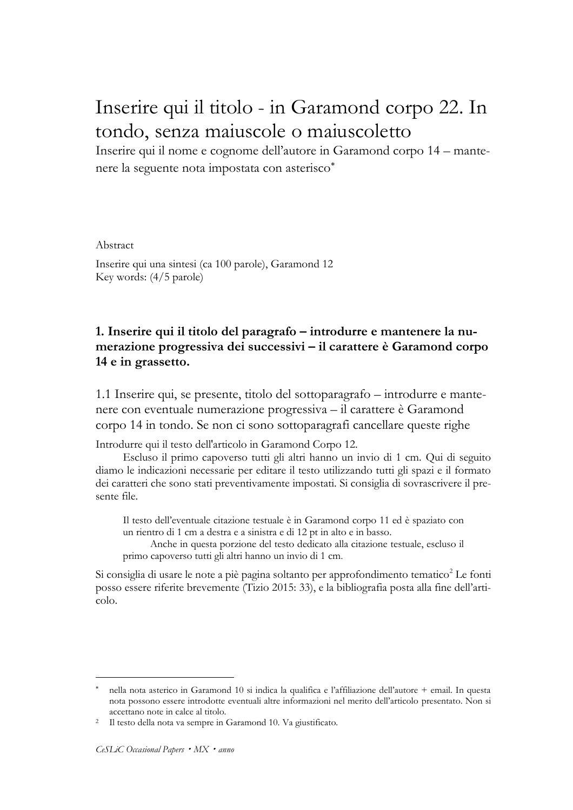## Inserire qui il titolo - in Garamond corpo 22. In tondo, senza maiuscole o maiuscoletto

Inserire qui il nome e cognome dell'autore in Garamond corpo 14 – mantenere la seguente nota impostata con asterisco

Abstract

Inserire qui una sintesi (ca 100 parole), Garamond 12 Key words: (4/5 parole)

## **1. Inserire qui il titolo del paragrafo – introdurre e mantenere la numerazione progressiva dei successivi – il carattere è Garamond corpo 14 e in grassetto.**

1.1 Inserire qui, se presente, titolo del sottoparagrafo – introdurre e mantenere con eventuale numerazione progressiva – il carattere è Garamond corpo 14 in tondo. Se non ci sono sottoparagrafi cancellare queste righe

Introdurre qui il testo dell'articolo in Garamond Corpo 12.

Escluso il primo capoverso tutti gli altri hanno un invio di 1 cm. Qui di seguito diamo le indicazioni necessarie per editare il testo utilizzando tutti gli spazi e il formato dei caratteri che sono stati preventivamente impostati. Si consiglia di sovrascrivere il presente file.

Il testo dell'eventuale citazione testuale è in Garamond corpo 11 ed è spaziato con un rientro di 1 cm a destra e a sinistra e di 12 pt in alto e in basso.

Anche in questa porzione del testo dedicato alla citazione testuale, escluso il primo capoverso tutti gli altri hanno un invio di 1 cm.

Si consiglia di usare le note a piè pagina soltanto per approfondimento tematico<sup>2</sup> Le fonti posso essere riferite brevemente (Tizio 2015: 33), e la bibliografia posta alla fine dell'articolo.

nella nota asterico in Garamond 10 si indica la qualifica e l'affiliazione dell'autore + email. In questa nota possono essere introdotte eventuali altre informazioni nel merito dell'articolo presentato. Non si accettano note in calce al titolo.

<sup>2</sup> Il testo della nota va sempre in Garamond 10. Va giustificato.